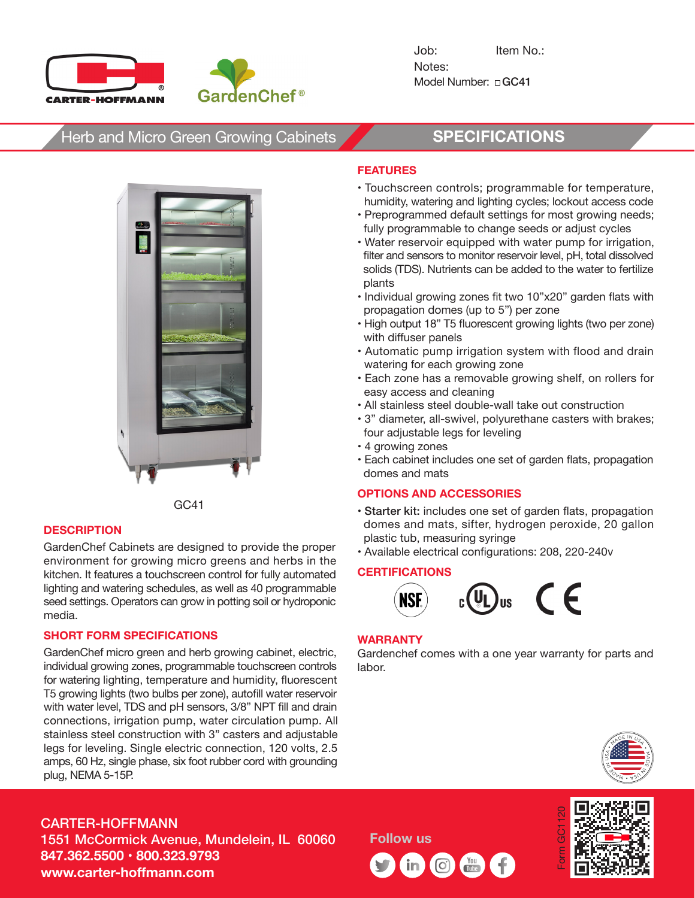



# Herb and Micro Green Growing Cabinets **SPECIFICATIONS**



GC41

### **DESCRIPTION**

GardenChef Cabinets are designed to provide the proper environment for growing micro greens and herbs in the kitchen. It features a touchscreen control for fully automated lighting and watering schedules, as well as 40 programmable seed settings. Operators can grow in potting soil or hydroponic media.

### **SHORT FORM SPECIFICATIONS**

GardenChef micro green and herb growing cabinet, electric, individual growing zones, programmable touchscreen controls for watering lighting, temperature and humidity, fluorescent T5 growing lights (two bulbs per zone), autofill water reservoir with water level, TDS and pH sensors, 3/8" NPT fill and drain connections, irrigation pump, water circulation pump. All stainless steel construction with 3" casters and adjustable legs for leveling. Single electric connection, 120 volts, 2.5 amps, 60 Hz, single phase, six foot rubber cord with grounding plug, NEMA 5-15P.

#### **FEATURES**

- Touchscreen controls; programmable for temperature, humidity, watering and lighting cycles; lockout access code
- Preprogrammed default settings for most growing needs; fully programmable to change seeds or adjust cycles
- Water reservoir equipped with water pump for irrigation, filter and sensors to monitor reservoir level, pH, total dissolved solids (TDS). Nutrients can be added to the water to fertilize plants
- Individual growing zones fit two 10"x20" garden flats with propagation domes (up to 5") per zone
- High output 18" T5 fluorescent growing lights (two per zone) with diffuser panels
- Automatic pump irrigation system with flood and drain watering for each growing zone
- Each zone has a removable growing shelf, on rollers for easy access and cleaning
- All stainless steel double-wall take out construction
- 3" diameter, all-swivel, polyurethane casters with brakes; four adjustable legs for leveling
- 4 growing zones
- Each cabinet includes one set of garden flats, propagation domes and mats

#### **OPTIONS AND ACCESSORIES**

- Starter kit: includes one set of garden flats, propagation domes and mats, sifter, hydrogen peroxide, 20 gallon plastic tub, measuring syringe
- Available electrical configurations: 208, 220-240v

#### **CERTIFICATIONS**



#### **WARRANTY**

Gardenchef comes with a one year warranty for parts and labor.



### CARTER-HOFFMANN 1551 McCormick Avenue, Mundelein, IL 60060 **847.362.5500 • 800.323.9793 www.carter-hoffmann.com**

**Follow us**